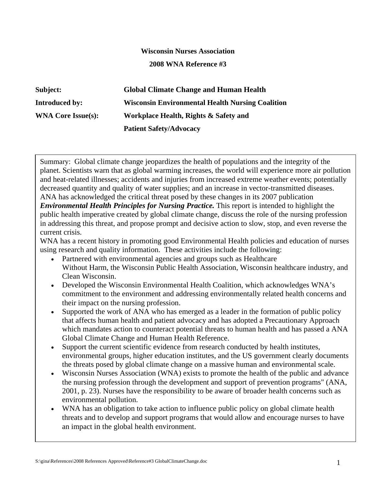## **Wisconsin Nurses Association 2008 WNA Reference #3**

**Subject: Global Climate Change and Human Health Introduced by: Wisconsin Environmental Health Nursing Coalition WNA Core Issue(s): Workplace Health, Rights & Safety and Patient Safety/Advocacy** 

Summary: Global climate change jeopardizes the health of populations and the integrity of the planet. Scientists warn that as global warming increases, the world will experience more air pollution and heat-related illnesses; accidents and injuries from increased extreme weather events; potentially decreased quantity and quality of water supplies; and an increase in vector-transmitted diseases. ANA has acknowledged the critical threat posed by these changes in its 2007 publication *Environmental Health Principles for Nursing Practice.* This report is intended to highlight the

public health imperative created by global climate change, discuss the role of the nursing profession in addressing this threat, and propose prompt and decisive action to slow, stop, and even reverse the current crisis.

WNA has a recent history in promoting good Environmental Health policies and education of nurses using research and quality information. These activities include the following:

- Partnered with environmental agencies and groups such as Healthcare Without Harm, the Wisconsin Public Health Association, Wisconsin healthcare industry, and Clean Wisconsin.
- Developed the Wisconsin Environmental Health Coalition, which acknowledges WNA's commitment to the environment and addressing environmentally related health concerns and their impact on the nursing profession.
- Supported the work of ANA who has emerged as a leader in the formation of public policy that affects human health and patient advocacy and has adopted a Precautionary Approach which mandates action to counteract potential threats to human health and has passed a ANA Global Climate Change and Human Health Reference.
- Support the current scientific evidence from research conducted by health institutes, environmental groups, higher education institutes, and the US government clearly documents the threats posed by global climate change on a massive human and environmental scale.
- Wisconsin Nurses Association (WNA) exists to promote the health of the public and advance the nursing profession through the development and support of prevention programs" (ANA, 2001, p. 23). Nurses have the responsibility to be aware of broader health concerns such as environmental pollution.
- WNA has an obligation to take action to influence public policy on global climate health threats and to develop and support programs that would allow and encourage nurses to have an impact in the global health environment.